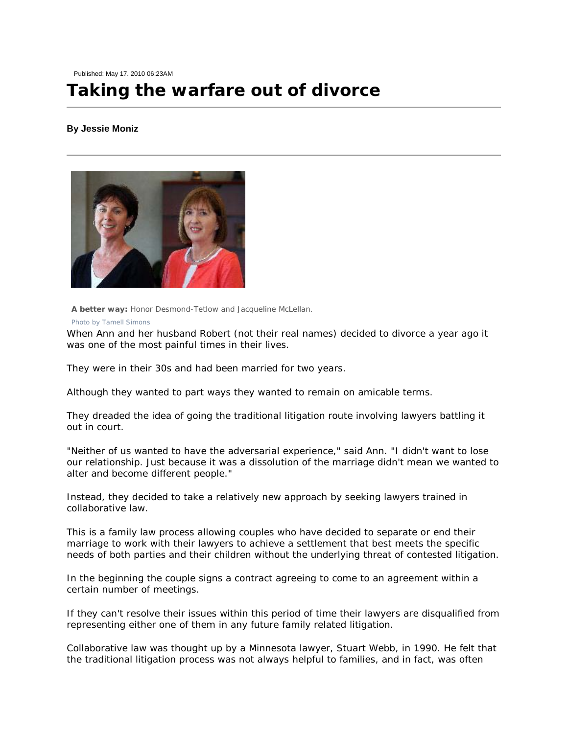Published: May 17. 2010 06:23AM

## **Taking the warfare out of divorce**

## **By Jessie Moniz**



 **A better way:** Honor Desmond-Tetlow and Jacqueline McLellan. *Photo by Tamell Simons* 

When Ann and her husband Robert (not their real names) decided to divorce a year ago it was one of the most painful times in their lives.

They were in their 30s and had been married for two years.

Although they wanted to part ways they wanted to remain on amicable terms.

They dreaded the idea of going the traditional litigation route involving lawyers battling it out in court.

"Neither of us wanted to have the adversarial experience," said Ann. "I didn't want to lose our relationship. Just because it was a dissolution of the marriage didn't mean we wanted to alter and become different people."

Instead, they decided to take a relatively new approach by seeking lawyers trained in collaborative law.

This is a family law process allowing couples who have decided to separate or end their marriage to work with their lawyers to achieve a settlement that best meets the specific needs of both parties and their children without the underlying threat of contested litigation.

In the beginning the couple signs a contract agreeing to come to an agreement within a certain number of meetings.

If they can't resolve their issues within this period of time their lawyers are disqualified from representing either one of them in any future family related litigation.

Collaborative law was thought up by a Minnesota lawyer, Stuart Webb, in 1990. He felt that the traditional litigation process was not always helpful to families, and in fact, was often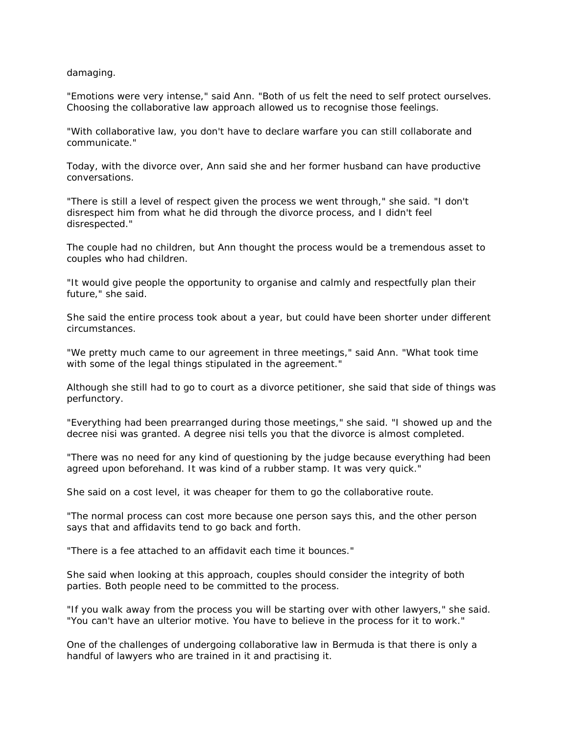damaging.

"Emotions were very intense," said Ann. "Both of us felt the need to self protect ourselves. Choosing the collaborative law approach allowed us to recognise those feelings.

"With collaborative law, you don't have to declare warfare you can still collaborate and communicate."

Today, with the divorce over, Ann said she and her former husband can have productive conversations.

"There is still a level of respect given the process we went through," she said. "I don't disrespect him from what he did through the divorce process, and I didn't feel disrespected."

The couple had no children, but Ann thought the process would be a tremendous asset to couples who had children.

"It would give people the opportunity to organise and calmly and respectfully plan their future," she said.

She said the entire process took about a year, but could have been shorter under different circumstances.

"We pretty much came to our agreement in three meetings," said Ann. "What took time with some of the legal things stipulated in the agreement."

Although she still had to go to court as a divorce petitioner, she said that side of things was perfunctory.

"Everything had been prearranged during those meetings," she said. "I showed up and the decree nisi was granted. A degree nisi tells you that the divorce is almost completed.

"There was no need for any kind of questioning by the judge because everything had been agreed upon beforehand. It was kind of a rubber stamp. It was very quick."

She said on a cost level, it was cheaper for them to go the collaborative route.

"The normal process can cost more because one person says this, and the other person says that and affidavits tend to go back and forth.

"There is a fee attached to an affidavit each time it bounces."

She said when looking at this approach, couples should consider the integrity of both parties. Both people need to be committed to the process.

"If you walk away from the process you will be starting over with other lawyers," she said. "You can't have an ulterior motive. You have to believe in the process for it to work."

One of the challenges of undergoing collaborative law in Bermuda is that there is only a handful of lawyers who are trained in it and practising it.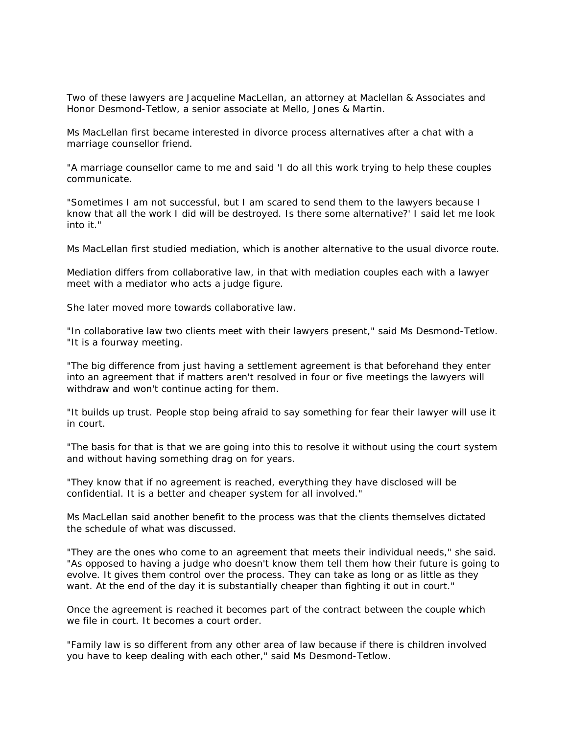Two of these lawyers are Jacqueline MacLellan, an attorney at Maclellan & Associates and Honor Desmond-Tetlow, a senior associate at Mello, Jones & Martin.

Ms MacLellan first became interested in divorce process alternatives after a chat with a marriage counsellor friend.

"A marriage counsellor came to me and said 'I do all this work trying to help these couples communicate.

"Sometimes I am not successful, but I am scared to send them to the lawyers because I know that all the work I did will be destroyed. Is there some alternative?' I said let me look into it."

Ms MacLellan first studied mediation, which is another alternative to the usual divorce route.

Mediation differs from collaborative law, in that with mediation couples each with a lawyer meet with a mediator who acts a judge figure.

She later moved more towards collaborative law.

"In collaborative law two clients meet with their lawyers present," said Ms Desmond-Tetlow. "It is a fourway meeting.

"The big difference from just having a settlement agreement is that beforehand they enter into an agreement that if matters aren't resolved in four or five meetings the lawyers will withdraw and won't continue acting for them.

"It builds up trust. People stop being afraid to say something for fear their lawyer will use it in court.

"The basis for that is that we are going into this to resolve it without using the court system and without having something drag on for years.

"They know that if no agreement is reached, everything they have disclosed will be confidential. It is a better and cheaper system for all involved."

Ms MacLellan said another benefit to the process was that the clients themselves dictated the schedule of what was discussed.

"They are the ones who come to an agreement that meets their individual needs," she said. "As opposed to having a judge who doesn't know them tell them how their future is going to evolve. It gives them control over the process. They can take as long or as little as they want. At the end of the day it is substantially cheaper than fighting it out in court."

Once the agreement is reached it becomes part of the contract between the couple which we file in court. It becomes a court order.

"Family law is so different from any other area of law because if there is children involved you have to keep dealing with each other," said Ms Desmond-Tetlow.